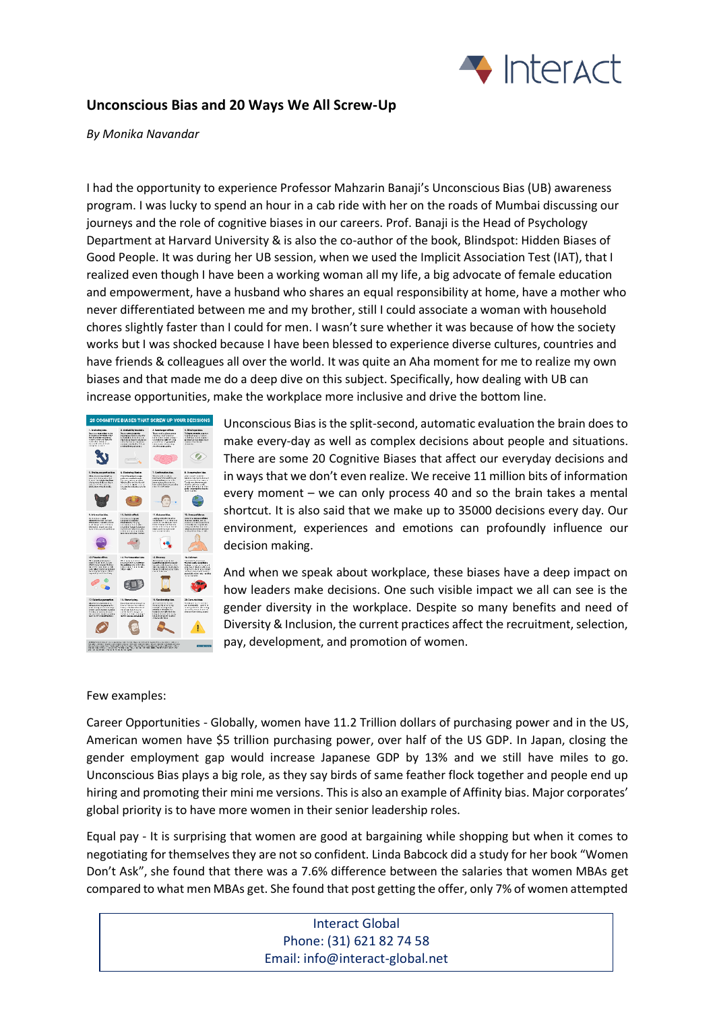

## **Unconscious Bias and 20 Ways We All Screw-Up**

*By Monika Navandar*

I had the opportunity to experience Professor Mahzarin Banaji's Unconscious Bias (UB) awareness program. I was lucky to spend an hour in a cab ride with her on the roads of Mumbai discussing our journeys and the role of cognitive biases in our careers. Prof. Banaji is the Head of Psychology Department at Harvard University & is also the co-author of the book, Blindspot: Hidden Biases of Good People. It was during her UB session, when we used the Implicit Association Test (IAT), that I realized even though I have been a working woman all my life, a big advocate of female education and empowerment, have a husband who shares an equal responsibility at home, have a mother who never differentiated between me and my brother, still I could associate a woman with household chores slightly faster than I could for men. I wasn't sure whether it was because of how the society works but I was shocked because I have been blessed to experience diverse cultures, countries and have friends & colleagues all over the world. It was quite an Aha moment for me to realize my own biases and that made me do a deep dive on this subject. Specifically, how dealing with UB can increase opportunities, make the workplace more inclusive and drive the bottom line.



Unconscious Bias is the split-second, automatic evaluation the brain does to make every-day as well as complex decisions about people and situations. There are some 20 Cognitive Biases that affect our everyday decisions and in ways that we don't even realize. We receive 11 million bits of information every moment – we can only process 40 and so the brain takes a mental shortcut. It is also said that we make up to 35000 decisions every day. Our environment, experiences and emotions can profoundly influence our decision making.

And when we speak about workplace, these biases have a deep impact on how leaders make decisions. One such visible impact we all can see is the gender diversity in the workplace. Despite so many benefits and need of Diversity & Inclusion, the current practices affect the recruitment, selection, pay, development, and promotion of women.

## Few examples:

Career Opportunities - Globally, women have 11.2 Trillion dollars of purchasing power and in the US, American women have \$5 trillion purchasing power, over half of the US GDP. In Japan, closing the gender employment gap would increase Japanese GDP by 13% and we still have miles to go. Unconscious Bias plays a big role, as they say birds of same feather flock together and people end up hiring and promoting their mini me versions. This is also an example of Affinity bias. Major corporates' global priority is to have more women in their senior leadership roles.

Equal pay - It is surprising that women are good at bargaining while shopping but when it comes to negotiating for themselves they are not so confident. Linda Babcock did a study for her book "Women Don't Ask", she found that there was a 7.6% difference between the salaries that women MBAs get compared to what men MBAs get. She found that post getting the offer, only 7% of women attempted

## Interact Global Phone: (31) 621 82 74 58 Email: info@interact-global.net